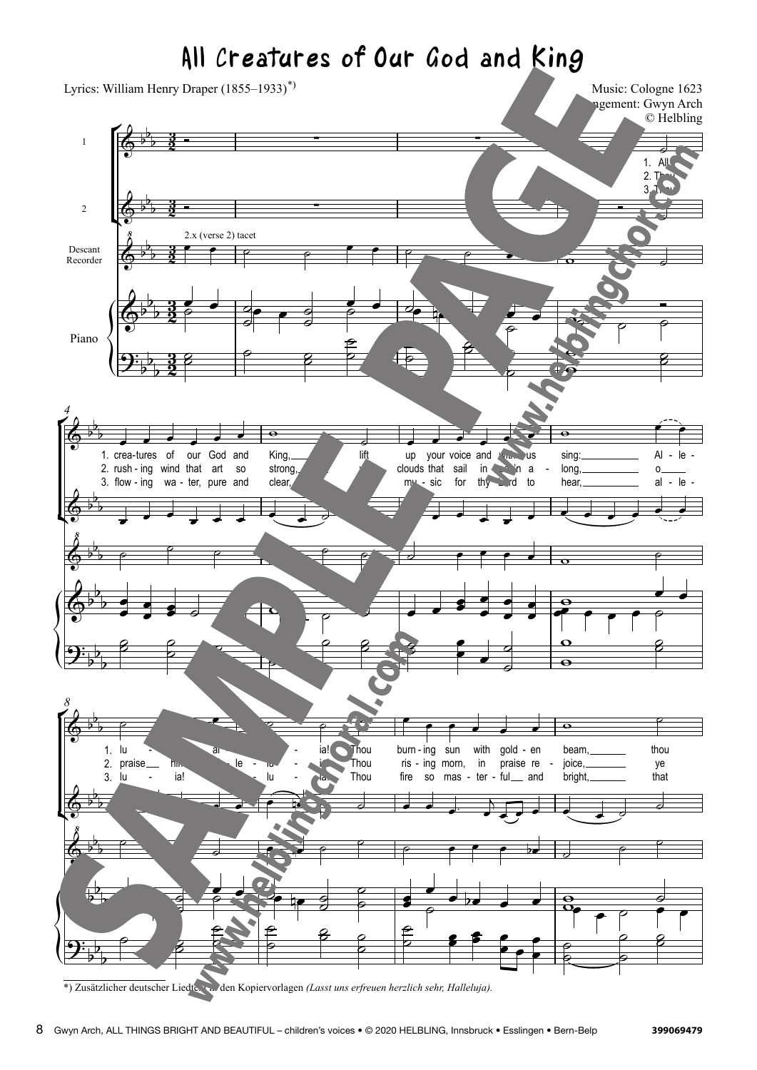## All Creatures of Our God and King all Cod and Creatures.  $\epsilon$  ealures of Our God and

° ¢ {<br>{<br>{  $\overline{4}$ ¢ {<br>{<br>{} ° ¢ **\\\ight\\ight\\ight\\ight\\ight\\ight\\ight\\ight\\ight\\ight\\ight\\ight\\ight\\ight\\ight\\ight\\ight\\ight\\ight\\ight\\ight\\ight\\ight\\ight\\ight\\ight\\ight\\ight\\ight\\ight\\ight\\ight\\ight\\ight\\ight\\ight\\ig** Descant  $\overline{\phantom{a}}$ 1.  $Al<sub>l</sub>$  $2. T<sub>th</sub>$  $\overline{\phantom{a}}$ 1. crea-tures 2. rush - ing wind that art so  $\overline{\phantom{a}}$ -  $\bullet$ wind of  $\overrightarrow{\bullet}$ our  $\bullet$ God and  $\overline{\ }$  $\frac{6}{1}$ King, strong,  $\overline{\boldsymbol{z}}$ ye lift make  $\overrightarrow{\bullet}$ up clouds that sail  $\overline{\phantom{a}}$ your voice and  $\bullet$  $\overrightarrow{\cdot}$  $in$  $\blacktriangleleft$ heav'n with Lord to heav'n a us a us  $\frac{8}{1}$ sing: long,  $\pm$ o Al al o  $^\dagger$ le - - lu lu i praise\_ ia! - Al Al le le le - lu **i** ia! ia! ia! - - - Thou Thou Thou Thou Thou  $\pm$ burn - ing ris - ing morn,  $\mathord{\text{--}}$ -  $\pm$ sun  $\overline{\phantom{a}}$ with - ter in  $\overline{\ }$ gold - en praise re  $\overline{ }$  $\overline{\phantom{a}}$ - en beam, joice, thou thou ye <u>.</u> <u>.</u> <u>ي</u> <u>.</u><br>3 <u>.</u><br>3  $\theta$  $\overline{a}$ ∑ Music: Cologne 1623 ngement: Gwyn Arch  $\theta$  $\overline{z}$   $\overline{z}$   $\overline{z}$   $\overline{z}$   $\overline{z}$   $\overline{z}$   $\overline{z}$   $\overline{z}$   $\overline{z}$   $\overline{z}$   $\overline{z}$   $\overline{z}$   $\overline{z}$   $\overline{z}$   $\overline{z}$   $\overline{z}$   $\overline{z}$   $\overline{z}$   $\overline{z}$   $\overline{z}$   $\overline{z}$   $\overline{z}$   $\overline{z}$   $\overline{z}$   $\overline{$ & ‹ l<br>L l, 2.x (verse 2) tacety and 2) tacety and 2) the contract of the contract of the contract of the contract of the <br>2) the contract of the contract of the contract of the contract of the contract of the contract of the contract  $\lambda_{\rm b}$ l. <u>l</u>  $\frac{\epsilon}{\Theta \text{in}}$  $\overline{a}$ b  $\overline{\mathcal{L}}$ l,  $\equiv$  $\overline{2}$  $\frac{3.1}{100}$  flow - ing & }<br>} b b  $\lambda_{\rm b}$ b  $\overline{a}$  $\frac{\epsilon}{\Theta \colon \Gamma}$  $\overline{a}$  $\overline{a}$  $\overline{\mathbf{2}}$ l, 1. 2. 1. 3. 2.  $\mathcal{L}$ b & ‹ b l, &b b l<br>H  $\frac{1}{\Theta \mathbb{H}}$ L b <sup>Ó</sup> Ó Ó ˙  $\overline{\phantom{a}}$   $\overline{\phantom{a}}$   $\overline{\phantom{a}}$   $\overline{\phantom{a}}$   $\overline{\phantom{a}}$   $\overline{\phantom{a}}$   $\overline{\phantom{a}}$   $\overline{\phantom{a}}$   $\overline{\phantom{a}}$   $\overline{\phantom{a}}$   $\overline{\phantom{a}}$   $\overline{\phantom{a}}$   $\overline{\phantom{a}}$   $\overline{\phantom{a}}$   $\overline{\phantom{a}}$   $\overline{\phantom{a}}$   $\overline{\phantom{a}}$   $\overline{\phantom{a}}$   $\overline{\$  $2.x$  (verse 2) tacet  $\overline{a}$  $\overrightarrow{ }$  $\frac{1}{4}$  $\frac{1}{2}$  $\frac{1}{4}$  $\overline{1}$  $\overline{a}$  $\frac{1}{2}$  $\overline{v}$ **j**  $\frac{1}{\sqrt{1-\frac{1}{2}}}\left(\frac{1}{\sqrt{1-\frac{1}{2}}}\right)$ ˙˙ °∣ ∣ °<br>° ˙ ∣<br><del>p</del> ˙ ˙  $\frac{1}{2}$ ˙ w w ˙˙  $\mathbb{R}$   $\mathbb{R}$   $\mathbb{R}$   $\mathbb{R}$   $\mathbb{R}$   $\mathbb{R}$   $\mathbb{R}$   $\mathbb{R}$   $\mathbb{R}$   $\mathbb{R}$   $\mathbb{R}$   $\mathbb{R}$   $\mathbb{R}$   $\mathbb{R}$   $\mathbb{R}$   $\mathbb{R}$   $\mathbb{R}$   $\mathbb{R}$   $\mathbb{R}$   $\mathbb{R}$   $\mathbb{R}$   $\mathbb{R}$   $\mathbb{R}$   $\mathbb{R}$   $\mathbb{$ <sup>œ</sup> <sup>œ</sup> <sup>œ</sup> <sup>œ</sup> <sup>œ</sup> <sup>œ</sup> <sup>œ</sup> <sup>œ</sup> ˙ ˙ <sup>œ</sup> <sup>œ</sup> <sup>œ</sup> <sup>œ</sup> <sup>œ</sup> <sup>œ</sup> <sup>œ</sup> <sup>œ</sup> <sup>œ</sup> <sup>œ</sup> <sup>œ</sup> <sup>œ</sup>  $\overline{\phantom{a}}$   $\overline{\phantom{a}}$   $\overline{\phantom{a}}$   $\overline{\phantom{a}}$   $\overline{\phantom{a}}$   $\overline{\phantom{a}}$   $\overline{\phantom{a}}$   $\overline{\phantom{a}}$   $\overline{\phantom{a}}$   $\overline{\phantom{a}}$   $\overline{\phantom{a}}$   $\overline{\phantom{a}}$   $\overline{\phantom{a}}$   $\overline{\phantom{a}}$   $\overline{\phantom{a}}$   $\overline{\phantom{a}}$   $\overline{\phantom{a}}$   $\overline{\phantom{a}}$   $\overline{\$  $\frac{1}{\bullet}$  $\overline{a}$  $\overline{\phantom{a}}$  $\overline{\mathbf{r}}$  $\frac{1}{2}$  $\overline{\mathbf{e}}$  $\mathbf{e}_x = \mathbf{e}_x$ œ œ  $\overline{\mathbf{r}}$ œ  $\overline{\phantom{a}}$ œ  $\frac{1}{\sqrt{2}}$  $\overline{e}$  $\frac{1}{\vert}$  $\overrightarrow{a}$  $\overline{a}$ ˙ ˙  $\begin{array}{c} \circ \\ \circ \\ \circ \end{array}$ œ  $\epsilon$ d<br>1  $\begin{array}{c} \begin{array}{c} \text{ }\\ \text{ }\\ \text{ }\\ \text{ }\\ \end{array} \end{array}$  $\Omega$ ˙˙  $\overrightarrow{r}$   $\overrightarrow{r}$   $\overrightarrow{r}$   $\overrightarrow{r}$   $\overrightarrow{r}$   $\overrightarrow{r}$   $\overrightarrow{r}$   $\overrightarrow{r}$   $\overrightarrow{r}$   $\overrightarrow{r}$   $\overrightarrow{r}$   $\overrightarrow{r}$   $\overrightarrow{r}$   $\overrightarrow{r}$   $\overrightarrow{r}$   $\overrightarrow{r}$   $\overrightarrow{r}$   $\overrightarrow{r}$   $\overrightarrow{r}$   $\overrightarrow{r}$   $\overrightarrow{r}$   $\overrightarrow{r}$   $\overrightarrow{r}$   $\overrightarrow{r}$   $\overrightarrow{$ <u>io e est mas e el proponente so mas e el proponente so mas e el proponente so mas e el proponente so mas e el </u> - ter - ful<sub>—</sub> and  $\begin{picture}(180,10) \put(0,0){\vector(1,0){100}} \put(10,0){\vector(1,0){100}} \put(10,0){\vector(1,0){100}} \put(10,0){\vector(1,0){100}} \put(10,0){\vector(1,0){100}} \put(10,0){\vector(1,0){100}} \put(10,0){\vector(1,0){100}} \put(10,0){\vector(1,0){100}} \put(10,0){\vector(1,0){100}} \put(10,0){\vector(1,0){100}} \put(10,0){\vector(1,0){100}}$ ˙ ˙ ˙ <sup>œ</sup> œn ˙ ˙ ˙ <sup>œ</sup> <sup>œ</sup> <sup>œ</sup> œb ˙ ˙ ˙ ˙ **<u>ie en die en die en die en die en die en die en die en die en die en die en die en die en die en die en die en die en die en die en die en die en die en die en die en die en die en die en die en die en die en die en die** </u> ˙ ˙ œ  $\frac{1}{2}$  $\overline{a}$  $\sim$   $\sim$ œ  $\overline{\phantom{a}}$  $\overline{\mathbf{a}}$ œ œb œ œ w w  $\frac{1}{2}$ ˙  $\frac{1}{\sigma}$  $\begin{array}{c} \begin{array}{c} \hline \hline \hline \hline \hline \hline \hline \hline \end{array} \end{array}$ ˙ ِ<br>ط  $\frac{1}{\sqrt{2}}$ ِ<br>م ˙˙ ˙ ˙ **z**  $\begin{array}{c} \mathbf{e} \end{array}$  $\overline{\phantom{a}}$  $\overline{\mathbf{e}}$ œ ˙  $\int\limits_0^1$ ˙ ˙˙ r<br>F ¢  $\left\{\right\}$  $\vec{\mathsf{f}}$ ¢  $\left\{\right\}$ 。<br>F ¢  $\sum_{n=1}^{n}$ 1 2 Recorder Piano  $3<sub>l</sub>$ wa - ter, pure and clear, ye make mu sic for thy  $rd$ to hear, al le le - - - - *4* lu him! ia! - al le le - lu lu - i . ia! - - - Thou fire so mas bright, that *8* <u>ង្គ</u>  $\frac{3}{2}$ <u>អ្</u>  $\frac{3}{2}$ <u>អ្</u>  $\frac{3}{2}$ <u>អ្</u>  $\frac{3}{2}$ <u>អ្ន</u>  $\frac{3}{2}$  $\overline{\mathbb{G}}^{\flat}$ b  $\frac{3}{2}$  = Lyrics: William Henry Draper (1855–1933)<sup>\*)</sup><br>Music: Cologne 1623<br>© Helbling ∑  $\overline{\mathbb{G}}^{\,\flat}$ b  $\frac{3}{2}$   $\frac{3}{2}$   $\frac{1}{2}$   $\frac{3}{2}$   $\frac{1}{2}$   $\frac{3}{2}$   $\frac{1}{2}$   $\frac{1}{2}$   $\frac{1}{2}$   $\frac{1}{2}$   $\frac{1}{2}$   $\frac{1}{2}$   $\frac{1}{2}$   $\frac{1}{2}$   $\frac{1}{2}$   $\frac{1}{2}$   $\frac{1}{2}$   $\frac{1}{2}$   $\frac{1}{2}$   $\frac{1}{2}$   $\frac{1}{2}$   $\frac{1}{2}$   $\Phi$ ‹ b b b 2.x (verse 2) tacet  $\overline{\mathbb{Q}^{\flat}}$ b b b  $\mathbf{\mathcal{G}}^{\mathbf{\cdot}}_{\flat}$ b b  $\overline{\mathbb{G}}$  by b b  $\overline{\mathbb{G}}^{\,\flat}$ b b  $\Phi$ <u><br>ጸ</u> b b b  $\overline{\mathbb{P}}$ b b  $\mathbf{\mathcal{G}}^{\mathbf{\cdot}}_{\flat}$ b b  $\overline{\mathbb{G}}$  by b b 3.  $\overline{\mathbb{G}}^{\,\flat}$ b b & ‹ b b b &b b b  $\mathbf{\mathcal{G}}^{\mathbf{\cdot}}_{\flat}$ b b <sup>Ó</sup> Ó Ó ˙ <sup>Ó</sup> Ó Ó ˙  $\overrightarrow{e}$   $\overrightarrow{e}$   $\overrightarrow{e}$   $\overrightarrow{e}$   $\overrightarrow{e}$   $\overrightarrow{e}$   $\overrightarrow{e}$   $\overrightarrow{e}$ œ  $\frac{1}{\rho}$ **j**  $\frac{1}{\sqrt{2}}$  $\frac{9}{4}$  $\frac{1}{9}$ œ ˙ <sup>œ</sup> ˙œ œn ˙ ˙ œ  $\frac{1}{\rho}$  $\frac{1}{\sqrt{1-\frac{1}{\sqrt{1-\frac{1}{\sqrt{1-\frac{1}{\sqrt{1-\frac{1}{\sqrt{1-\frac{1}{\sqrt{1-\frac{1}{\sqrt{1-\frac{1}{\sqrt{1-\frac{1}{\sqrt{1-\frac{1}{\sqrt{1-\frac{1}{\sqrt{1-\frac{1}{\sqrt{1-\frac{1}{\sqrt{1-\frac{1}{\sqrt{1-\frac{1}{\sqrt{1-\frac{1}{\sqrt{1-\frac{1}{\sqrt{1-\frac{1}{\sqrt{1-\frac{1}{\sqrt{1-\frac{1}{\sqrt{1-\frac{1}{\sqrt{1-\frac{1}{\sqrt{1-\frac{1}{\sqrt{1-\frac{1}{\sqrt{1-\frac{1$ Ó  $\beta$  $^{\circ}$   $^{\circ}$ ِّ<br>آ ا ہ<br>ا ˙  $\overline{\bullet}$  $\frac{2}{\sqrt{2}}$  $\overline{\mathsf{p}}$ w  $\frac{1}{2}$  $\beta$  $\overrightarrow{e}$   $\overrightarrow{e}$   $\overrightarrow{e}$   $\overrightarrow{e}$   $\overrightarrow{e}$   $\overrightarrow{e}$   $\overrightarrow{e}$   $\overrightarrow{e}$   $\overrightarrow{e}$   $\overrightarrow{e}$   $\overrightarrow{e}$   $\overrightarrow{e}$   $\overrightarrow{e}$   $\overrightarrow{e}$   $\overrightarrow{e}$   $\overrightarrow{e}$   $\overrightarrow{e}$   $\overrightarrow{e}$   $\overrightarrow{e}$   $\overrightarrow{e}$   $\overrightarrow{e}$   $\overrightarrow{e}$   $\overrightarrow{e}$   $\overrightarrow{e}$   $\overrightarrow{$ <sup>œ</sup> <sup>œ</sup> <sup>œ</sup> <sup>œ</sup> <sup>œ</sup> <sup>œ</sup> <sup>œ</sup> <sup>œ</sup> ˙ ˙ <sup>œ</sup> <sup>œ</sup> <sup>œ</sup> <sup>œ</sup> <sup>œ</sup> <sup>œ</sup> <sup>œ</sup> <sup>œ</sup> <sup>œ</sup> <sup>œ</sup> <sup>œ</sup> <sup>œ</sup> ˙ ˙ ˙ ˙ ˙ ˙ ˙ <sup>œ</sup> <sup>œ</sup> <sup>œ</sup> <sup>œ</sup> <sup>w</sup> ˙ œ œ e<br>J œ œ  $\bullet$   $\overline{\bullet}$   $\bullet$ œ  $\triangle$   $\Rightarrow$   $\triangle$ œ œ œ œ œ e<br>J  $\frac{1}{2}$  $\overrightarrow{e}$ **P**  $8 - 8$  $\int_{0}^{\infty}$ ˙ ˙ ˙  $rac{2}{1}$ œ œ œ  $\exists$  $\overline{\bullet}$  $\overline{\bullet}$ ˙˙ ˙ ˙ <sup>œ</sup> <sup>œ</sup> ˙ ˙ ˙ <sup>œ</sup> <sup>œ</sup> <sup>œ</sup> <sup>œ</sup> <sup>œ</sup> <sup>œ</sup> <sup>w</sup> ˙  $\overrightarrow{C}$ j  $\mathcal{Q}$   $\rightarrow$   $\mathcal{Q}$   $\rightarrow$   $\mathcal{Q}$   $\rightarrow$   $\mathcal{Q}$ <u></u> ˙œ œ  $\frac{9}{4}$ .<br>⊈ œ  $\frac{e^{x}}{e^{x}}$  $\frac{1}{2}$  $\frac{2}{3}$ œ  $\overline{P}$ œ  $\begin{array}{c|c|c|c|c|c} \hline \textbf{e} & \textbf{e} & \textbf{e} & \textbf{e} \\ \hline \textbf{e} & \textbf{e} & \textbf{e} & \textbf{e} \\ \hline \textbf{e} & \textbf{e} & \textbf{e} & \textbf{e} \end{array}$  $\frac{1}{\mathbf{e}}$  $\overline{\mathcal{P} + \mathcal{P}}$  $\frac{1}{2}$  $\overset{\circ}{\mathsf{P}}$   $\overset{\circ}{\mathsf{P}}$  $\overline{z}$ ˙˙ ِّ<br>م i<br>P  $\overline{e}$   $\overline{e}$  $\frac{2}{3}$ e<br>1 ˙ œœ  $\frac{2}{\pi}$ م<br>ص œœ ∶<br>€  $\frac{6}{5}$ ا<br>م ˙ ˙˙

<sup>\*)</sup> Zusätzlicher deutscher Liedtext in den Kopiervorlagen *(Lasst uns erfreuen herzlich sehr, Halleluja)*. \*) Zusätzlicher deutscher Liedtext in den Kopiervorlagen *(Lasst uns erfreuen herzlich sehr, Halleluja).*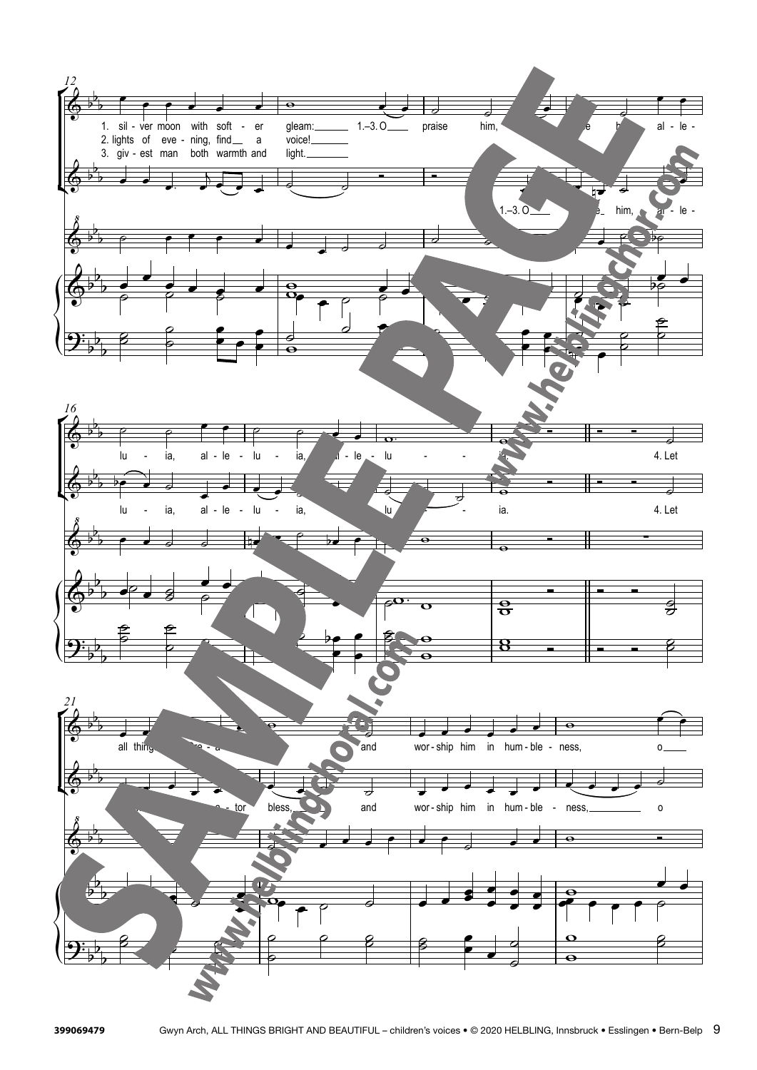